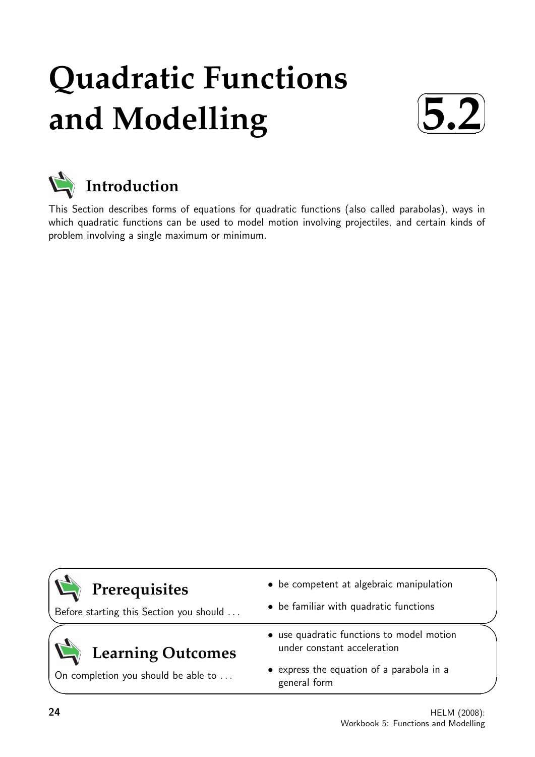# **Quadratic Functions and Modelling**





# **Introduction**

This Section describes forms of equations for quadratic functions (also called parabolas), ways in which quadratic functions can be used to model motion involving projectiles, and certain kinds of problem involving a single maximum or minimum.

# **Prerequisites**

Before starting this Section you should . . .

# **Learning Outcomes**

On completion you should be able to ...

- be competent at algebraic manipulation
- be familiar with quadratic functions
- use quadratic functions to model motion under constant acceleration
- express the equation of a parabola in a general form

 $\overline{\phantom{0}}$ 

 $\searrow$ 

 $\geq$ 

✧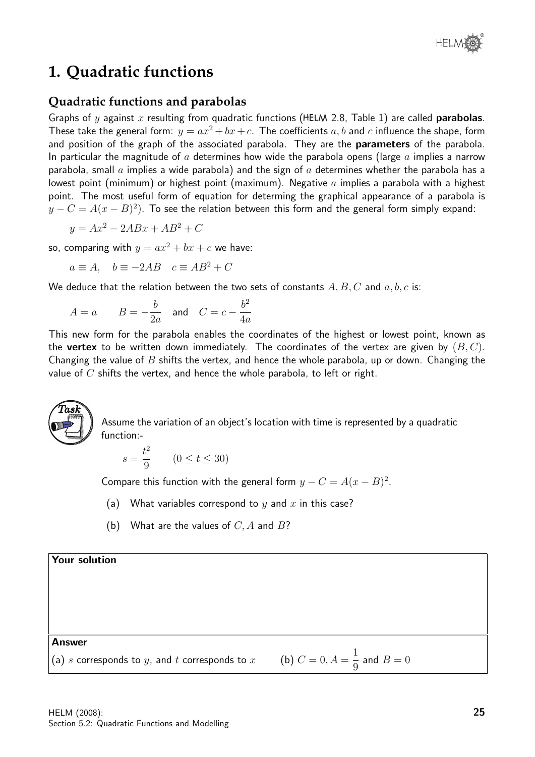

### **1. Quadratic functions**

#### **Quadratic functions and parabolas**

Graphs of y against x resulting from quadratic functions (HELM 2.8, Table 1) are called **parabolas**. These take the general form:  $y = ax^2 + bx + c$ . The coefficients  $a, b$  and  $c$  influence the shape, form and position of the graph of the associated parabola. They are the **parameters** of the parabola. In particular the magnitude of a determines how wide the parabola opens (large a implies a narrow parabola, small  $a$  implies a wide parabola) and the sign of  $a$  determines whether the parabola has a lowest point (minimum) or highest point (maximum). Negative  $a$  implies a parabola with a highest point. The most useful form of equation for determing the graphical appearance of a parabola is  $y-C=A(x-B)^2).$  To see the relation between this form and the general form simply expand:

$$
y = Ax^2 - 2ABx + AB^2 + C
$$

so, comparing with  $y = ax^2 + bx + c$  we have:

$$
a \equiv A, \quad b \equiv -2AB \quad c \equiv AB^2 + C
$$

We deduce that the relation between the two sets of constants  $A, B, C$  and  $a, b, c$  is:

$$
A = a \qquad B = -\frac{b}{2a} \quad \text{and} \quad C = c - \frac{b^2}{4a}
$$

This new form for the parabola enables the coordinates of the highest or lowest point, known as the **vertex** to be written down immediately. The coordinates of the vertex are given by  $(B, C)$ . Changing the value of B shifts the vertex, and hence the whole parabola, up or down. Changing the value of  $C$  shifts the vertex, and hence the whole parabola, to left or right.



Assume the variation of an object's location with time is represented by a quadratic function:-

$$
s = \frac{t^2}{9} \qquad (0 \le t \le 30)
$$

Compare this function with the general form  $y - C = A(x - B)^2$ .

- (a) What variables correspond to  $y$  and  $x$  in this case?
- (b) What are the values of  $C$ , A and  $B$ ?

#### Your solution

Answer

(a) s corresponds to y, and t corresponds to  $x$ 1 9 and  $B = 0$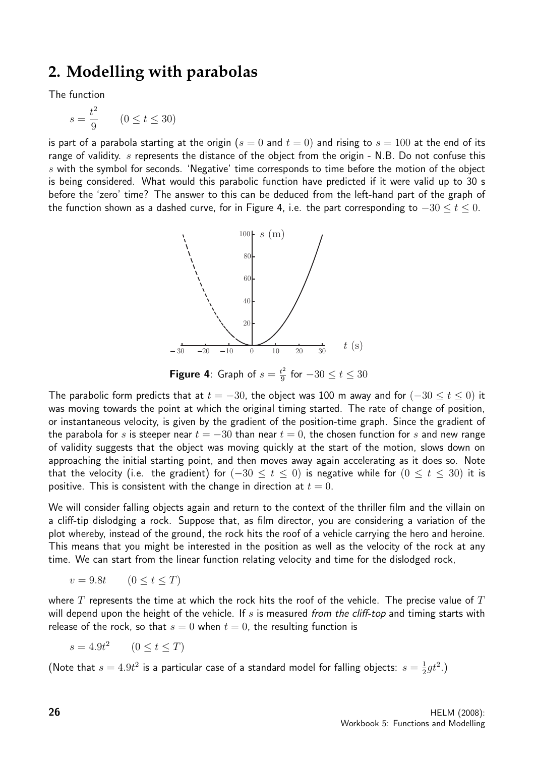### **2. Modelling with parabolas**

The function

$$
s = \frac{t^2}{9} \qquad (0 \le t \le 30)
$$

is part of a parabola starting at the origin ( $s = 0$  and  $t = 0$ ) and rising to  $s = 100$  at the end of its range of validity.  $s$  represents the distance of the object from the origin - N.B. Do not confuse this s with the symbol for seconds. 'Negative' time corresponds to time before the motion of the object is being considered. What would this parabolic function have predicted if it were valid up to 30 s before the 'zero' time? The answer to this can be deduced from the left-hand part of the graph of the function shown as a dashed curve, for in Figure 4, i.e. the part corresponding to  $-30 \le t \le 0$ .



**Figure 4:** Graph of  $s = \frac{t^2}{9}$  $\frac{t^2}{9}$  for  $-30 \le t \le 30$ 

The parabolic form predicts that at  $t = -30$ , the object was 100 m away and for  $(-30 \le t \le 0)$  it was moving towards the point at which the original timing started. The rate of change of position, or instantaneous velocity, is given by the gradient of the position-time graph. Since the gradient of the parabola for s is steeper near  $t = -30$  than near  $t = 0$ , the chosen function for s and new range of validity suggests that the object was moving quickly at the start of the motion, slows down on approaching the initial starting point, and then moves away again accelerating as it does so. Note that the velocity (i.e. the gradient) for  $(-30 \le t \le 0)$  is negative while for  $(0 \le t \le 30)$  it is positive. This is consistent with the change in direction at  $t = 0$ .

We will consider falling objects again and return to the context of the thriller film and the villain on a cliff-tip dislodging a rock. Suppose that, as film director, you are considering a variation of the plot whereby, instead of the ground, the rock hits the roof of a vehicle carrying the hero and heroine. This means that you might be interested in the position as well as the velocity of the rock at any time. We can start from the linear function relating velocity and time for the dislodged rock,

$$
v = 9.8t \qquad (0 \le t \le T)
$$

where  $T$  represents the time at which the rock hits the roof of the vehicle. The precise value of  $T$ will depend upon the height of the vehicle. If  $s$  is measured from the cliff-top and timing starts with release of the rock, so that  $s = 0$  when  $t = 0$ , the resulting function is

 $s = 4.9t^2$   $(0 \le t \le T)$ 

(Note that  $s = 4.9t^2$  is a particular case of a standard model for falling objects:  $s = \frac{1}{2}$  $rac{1}{2}gt^2.$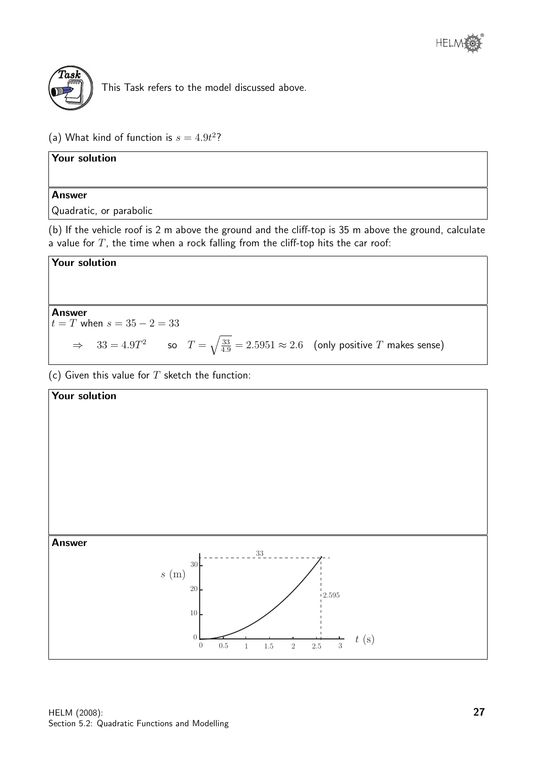

This Task refers to the model discussed above.

(a) What kind of function is  $s = 4.9t^2$ ?

Your solution Answer

Quadratic, or parabolic

(b) If the vehicle roof is 2 m above the ground and the cliff-top is 35 m above the ground, calculate a value for  $T$ , the time when a rock falling from the cliff-top hits the car roof:



Answer

 $t = T$  when  $s = 35 - 2 = 33$ 

$$
\Rightarrow
$$
 33 = 4.9T<sup>2</sup> so T =  $\sqrt{\frac{33}{4.9}}$  = 2.5951  $\approx$  2.6 (only positive T makes sense)

(c) Given this value for  $T$  sketch the function:

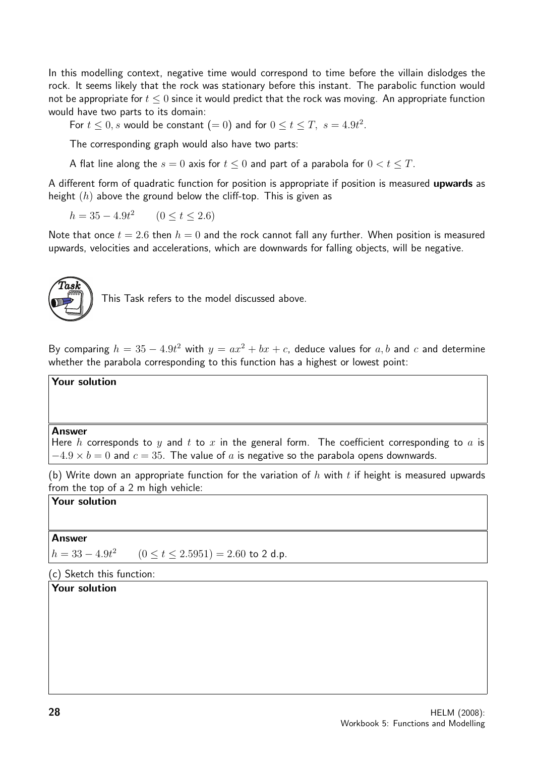In this modelling context, negative time would correspond to time before the villain dislodges the rock. It seems likely that the rock was stationary before this instant. The parabolic function would not be appropriate for  $t \leq 0$  since it would predict that the rock was moving. An appropriate function would have two parts to its domain:

For  $t \leq 0$ , s would be constant  $(= 0)$  and for  $0 \leq t \leq T$ ,  $s = 4.9t^2$ .

The corresponding graph would also have two parts:

A flat line along the  $s = 0$  axis for  $t \le 0$  and part of a parabola for  $0 < t \le T$ .

A different form of quadratic function for position is appropriate if position is measured **upwards** as height  $(h)$  above the ground below the cliff-top. This is given as

 $h = 35 - 4.9t^2$  $(0 < t < 2.6)$ 

Note that once  $t = 2.6$  then  $h = 0$  and the rock cannot fall any further. When position is measured upwards, velocities and accelerations, which are downwards for falling objects, will be negative.



This Task refers to the model discussed above.

By comparing  $h = 35 - 4.9t^2$  with  $y = ax^2 + bx + c$ , deduce values for  $a, b$  and  $c$  and determine whether the parabola corresponding to this function has a highest or lowest point:

#### Your solution

#### Answer

Here h corresponds to y and t to x in the general form. The coefficient corresponding to a is  $-4.9 \times b = 0$  and  $c = 35$ . The value of a is negative so the parabola opens downwards.

(b) Write down an appropriate function for the variation of h with t if height is measured upwards from the top of a 2 m high vehicle:

#### Your solution

#### **Answer**

 $h = 33 - 4.9t^2$  $(0 \le t \le 2.5951) = 2.60$  to 2 d.p.

#### (c) Sketch this function:

#### Your solution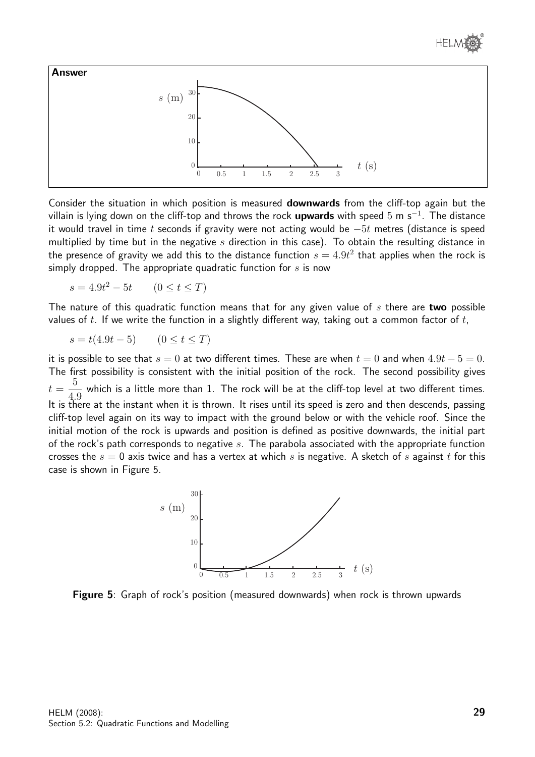



Consider the situation in which position is measured downwards from the cliff-top again but the villain is lying down on the cliff-top and throws the rock upwards with speed 5 m s<sup>−1</sup>. The distance it would travel in time t seconds if gravity were not acting would be  $-5t$  metres (distance is speed multiplied by time but in the negative  $s$  direction in this case). To obtain the resulting distance in the presence of gravity we add this to the distance function  $s=4.9t^2$  that applies when the rock is simply dropped. The appropriate quadratic function for  $s$  is now

 $s = 4.9t^2 - 5t$  $(0 \le t \le T)$ 

The nature of this quadratic function means that for any given value of  $s$  there are two possible values of t. If we write the function in a slightly different way, taking out a common factor of t,

$$
s = t(4.9t - 5) \qquad (0 \le t \le T)
$$

it is possible to see that  $s = 0$  at two different times. These are when  $t = 0$  and when  $4.9t - 5 = 0$ . The first possibility is consistent with the initial position of the rock. The second possibility gives  $t =$ 5 4.9 which is a little more than 1. The rock will be at the cliff-top level at two different times. It is there at the instant when it is thrown. It rises until its speed is zero and then descends, passing cliff-top level again on its way to impact with the ground below or with the vehicle roof. Since the initial motion of the rock is upwards and position is defined as positive downwards, the initial part of the rock's path corresponds to negative  $s$ . The parabola associated with the appropriate function crosses the  $s = 0$  axis twice and has a vertex at which s is negative. A sketch of s against t for this case is shown in Figure 5.



Figure 5: Graph of rock's position (measured downwards) when rock is thrown upwards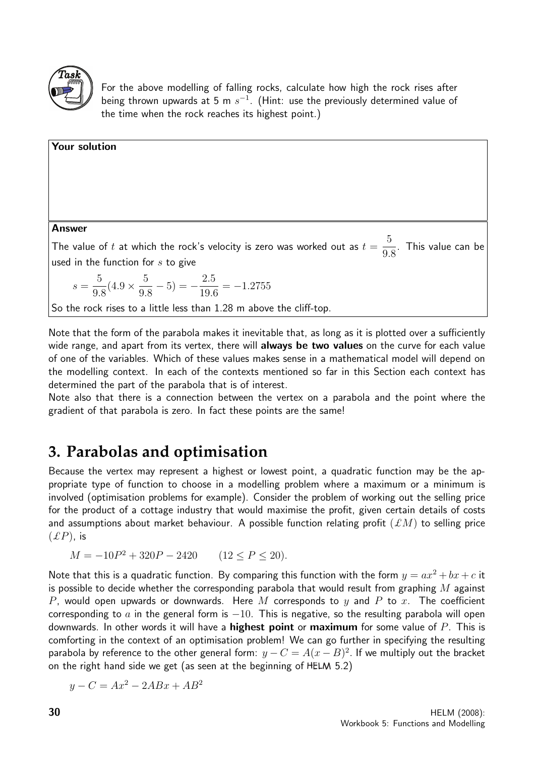

Your solution

For the above modelling of falling rocks, calculate how high the rock rises after being thrown upwards at 5 m  $s^{-1}$ . (Hint: use the previously determined value of the time when the rock reaches its highest point.)

| <b>Answer</b>                                                                                                                                           |
|---------------------------------------------------------------------------------------------------------------------------------------------------------|
| The value of t at which the rock's velocity is zero was worked out as $t = \frac{5}{9.8}$ . This value can be<br>used in the function for $s$ to give   |
| $s = \frac{5}{9.8} (4.9 \times \frac{5}{9.8} - 5) = -\frac{2.5}{19.6} = -1.2755$<br>So the rock rises to a little less than 1.28 m above the cliff-top. |
|                                                                                                                                                         |

Note that the form of the parabola makes it inevitable that, as long as it is plotted over a sufficiently wide range, and apart from its vertex, there will **always be two values** on the curve for each value of one of the variables. Which of these values makes sense in a mathematical model will depend on the modelling context. In each of the contexts mentioned so far in this Section each context has determined the part of the parabola that is of interest.

Note also that there is a connection between the vertex on a parabola and the point where the gradient of that parabola is zero. In fact these points are the same!

## **3. Parabolas and optimisation**

Because the vertex may represent a highest or lowest point, a quadratic function may be the appropriate type of function to choose in a modelling problem where a maximum or a minimum is involved (optimisation problems for example). Consider the problem of working out the selling price for the product of a cottage industry that would maximise the profit, given certain details of costs and assumptions about market behaviour. A possible function relating profit  $(\pounds M)$  to selling price  $(EP)$ , is

 $M = -10P^2 + 320P - 2420$  $(12 < P < 20)$ .

Note that this is a quadratic function. By comparing this function with the form  $y = ax^2 + bx + c$  it is possible to decide whether the corresponding parabola that would result from graphing  $M$  against P, would open upwards or downwards. Here M corresponds to y and P to x. The coefficient corresponding to a in the general form is  $-10$ . This is negative, so the resulting parabola will open downwards. In other words it will have a **highest point** or **maximum** for some value of  $P$ . This is comforting in the context of an optimisation problem! We can go further in specifying the resulting parabola by reference to the other general form:  $y - C = A(x - B)^2$ . If we multiply out the bracket on the right hand side we get (as seen at the beginning of HELM 5.2)

$$
y - C = Ax^2 - 2ABx + AB^2
$$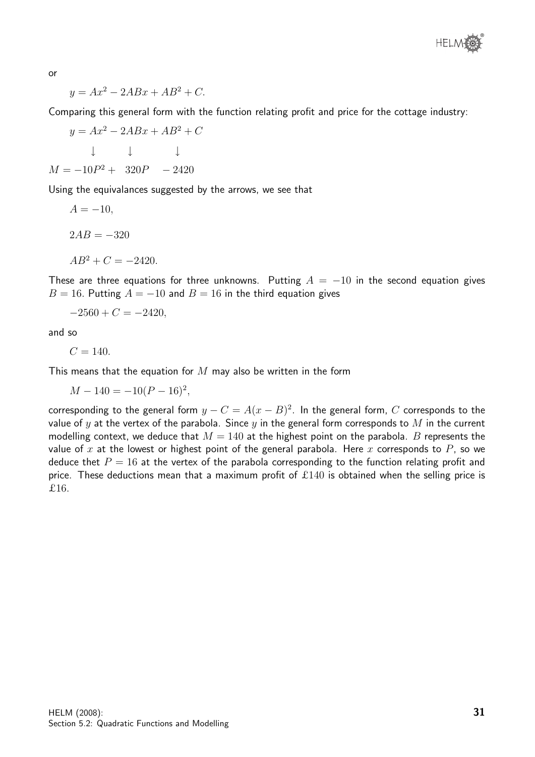

or

$$
y = Ax^2 - 2ABx + AB^2 + C.
$$

Comparing this general form with the function relating profit and price for the cottage industry:

 $y = Ax^2 - 2ABx + AB^2 + C$ ↓ ↓ ↓  $M = -10P^2 + 320P - 2420$ 

Using the equivalances suggested by the arrows, we see that

$$
A = -10,
$$
  
\n
$$
2AB = -320
$$
  
\n
$$
AB^2 + C = -2420.
$$

These are three equations for three unknowns. Putting  $A = -10$  in the second equation gives  $B = 16$ . Putting  $A = -10$  and  $B = 16$  in the third equation gives

$$
-2560 + C = -2420,
$$

and so

 $C = 140.$ 

This means that the equation for  $M$  may also be written in the form

 $M - 140 = -10(P - 16)^2,$ 

corresponding to the general form  $y - C = A(x - B)^2$ . In the general form,  $C$  corresponds to the value of y at the vertex of the parabola. Since y in the general form corresponds to M in the current modelling context, we deduce that  $M = 140$  at the highest point on the parabola. B represents the value of x at the lowest or highest point of the general parabola. Here x corresponds to P, so we deduce thet  $P = 16$  at the vertex of the parabola corresponding to the function relating profit and price. These deductions mean that a maximum profit of  $\pounds 140$  is obtained when the selling price is £16.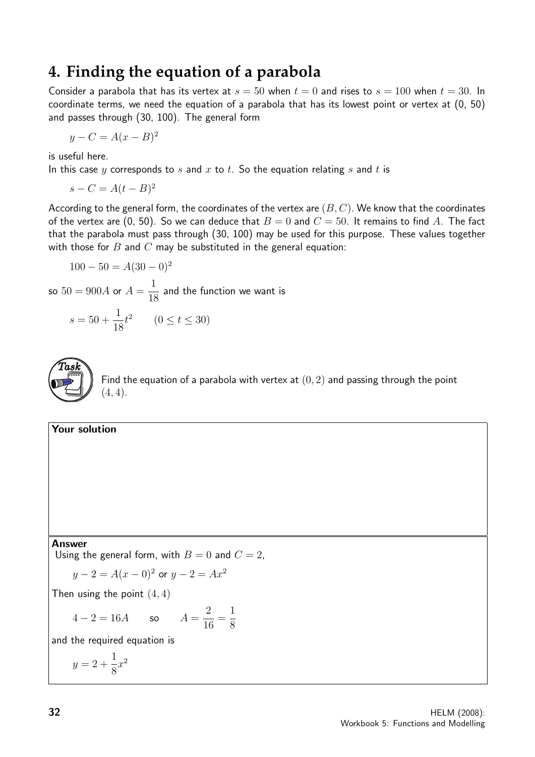### **4. Finding the equation of a parabola**

Consider a parabola that has its vertex at  $s = 50$  when  $t = 0$  and rises to  $s = 100$  when  $t = 30$ . In coordinate terms, we need the equation of a parabola that has its lowest point or vertex at (0, 50) and passes through (30, 100). The general form

$$
y - C = A(x - B)^2
$$

is useful here.

In this case y corresponds to s and x to t. So the equation relating s and t is

$$
s - C = A(t - B)^2
$$

According to the general form, the coordinates of the vertex are  $(B, C)$ . We know that the coordinates of the vertex are (0, 50). So we can deduce that  $B = 0$  and  $C = 50$ . It remains to find A. The fact that the parabola must pass through (30, 100) may be used for this purpose. These values together with those for  $B$  and  $C$  may be substituted in the general equation:

$$
100 - 50 = A(30 - 0)^2
$$

so  $50 = 900A$  or  $A =$ 1 18 and the function we want is  $s = 50 +$ 1 18  $t^2$   $(0 \le t \le 30)$ 



Find the equation of a parabola with vertex at  $(0, 2)$  and passing through the point  $(4, 4).$ 

#### Your solution

Answer

Using the general form, with  $B = 0$  and  $C = 2$ ,

$$
y-2 = A(x-0)^2
$$
 or  $y-2 = Ax^2$ 

Then using the point  $(4, 4)$ 

 $4 - 2 = 16A$  so  $A = \frac{2}{14}$ 16 = 1 8

and the required equation is

$$
y = 2 + \frac{1}{8}x^2
$$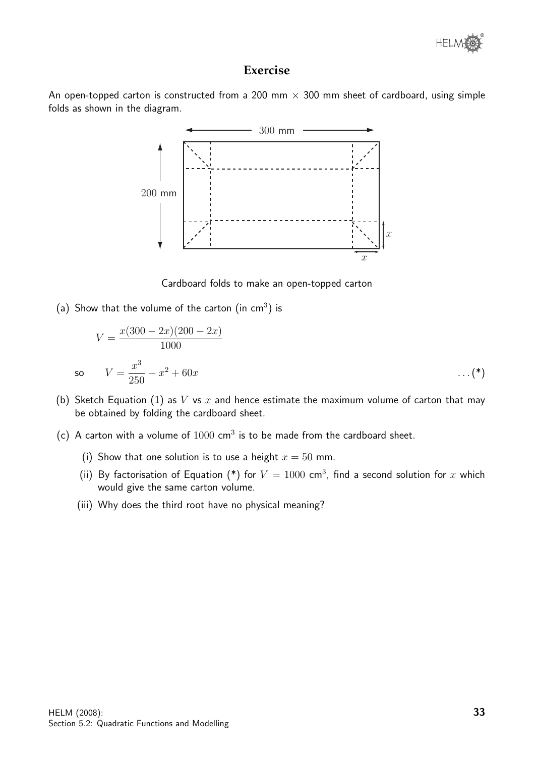

#### **Exercise**

An open-topped carton is constructed from a 200 mm  $\times$  300 mm sheet of cardboard, using simple folds as shown in the diagram.



Cardboard folds to make an open-topped carton

(a) Show that the volume of the carton (in  $cm<sup>3</sup>$ ) is

so

$$
V = \frac{x(300 - 2x)(200 - 2x)}{1000}
$$
  

$$
V = \frac{x^3}{250} - x^2 + 60x \qquad \dots (*)
$$

- (b) Sketch Equation (1) as V vs x and hence estimate the maximum volume of carton that may be obtained by folding the cardboard sheet.
- (c) A carton with a volume of  $1000 \text{ cm}^3$  is to be made from the cardboard sheet.
	- (i) Show that one solution is to use a height  $x = 50$  mm.
	- (ii) By factorisation of Equation (\*) for  $V = 1000$  cm<sup>3</sup>, find a second solution for x which would give the same carton volume.
	- (iii) Why does the third root have no physical meaning?